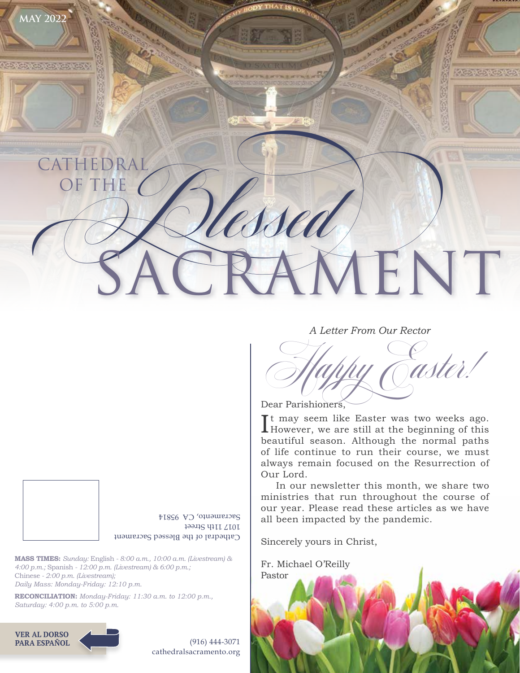

#### *A Letter From Our Rector*



Dear Parishioners,

It may seem like Easter was two weeks ago.<br>However, we are still at the beginning of this  $\blacksquare$  However, we are still at the beginning of this beautiful season. Although the normal paths of life continue to run their course, we must always remain focused on the Resurrection of Our Lord.

In our newsletter this month, we share two ministries that run throughout the course of our year. Please read these articles as we have all been impacted by the pandemic.

Sincerely yours in Christ,

Fr. Michael O'Reilly Pastor

Cathedral of the Blessed Sacrament 1017 11th Street Sacramento, CA 95814

**MASS TIMES:** *Sunday:* English *- 8:00 a.m., 10:00 a.m. (Livestream) & 4:00 p.m.;* Spanish *- 12:00 p.m. (Livestream) & 6:00 p.m.;*  Chinese *- 2:00 p.m. (Livestream); Daily Mass: Monday-Friday: 12:10 p.m.*

**RECONCILIATION:** *Monday-Friday: 11:30 a.m. to 12:00 p.m., Saturday: 4:00 p.m. to 5:00 p.m.*





(916) 444-3071 cathedralsacramento.org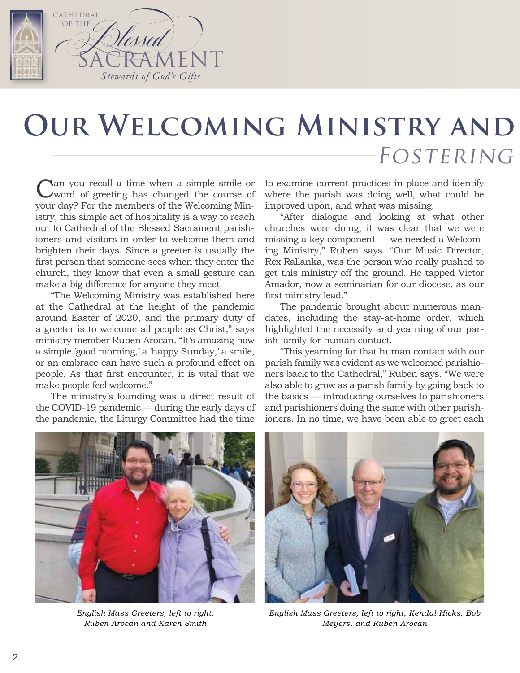

## **OUR WELCOMING MINISTRY AND** FOSTERING

Can you recall a time when a simple smile or word of greeting has changed the course of your day? For the members of the Welcoming Ministry, this simple act of hospitality is a way to reach out to Cathedral of the Blessed Sacrament parishioners and visitors in order to welcome them and brighten their days. Since a greeter is usually the first person that someone sees when they enter the church, they know that even a small gesture can make a big difference for anyone they meet.

"The Welcoming Ministry was established here at the Cathedral at the height of the pandemic around Easter of 2020, and the primary duty of a greeter is to welcome all people as Christ," says ministry member Ruben Arocan. "It's amazing how a simple 'good morning,' a 'happy Sunday,' a smile, or an embrace can have such a profound effect on people. As that first encounter, it is vital that we make people feel welcome."

The ministry's founding was a direct result of the COVID-19 pandemic — during the early days of the pandemic, the Liturgy Committee had the time

to examine current practices in place and identify where the parish was doing well, what could be improved upon, and what was missing.

"After dialogue and looking at what other churches were doing, it was clear that we were missing a key component — we needed a Welcoming Ministry," Ruben says. "Our Music Director, Rex Rallanka, was the person who really pushed to get this ministry off the ground. He tapped Victor Amador, now a seminarian for our diocese, as our first ministry lead."

The pandemic brought about numerous mandates, including the stay-at-home order, which highlighted the necessity and yearning of our parish family for human contact.

"This yearning for that human contact with our parish family was evident as we welcomed parishioners back to the Cathedral," Ruben says. "We were also able to grow as a parish family by going back to the basics — introducing ourselves to parishioners and parishioners doing the same with other parishioners. In no time, we have been able to greet each



*English Mass Greeters, left to right, Ruben Arocan and Karen Smith*



*English Mass Greeters, left to right, Kendal Hicks, Bob Meyers, and Ruben Arocan*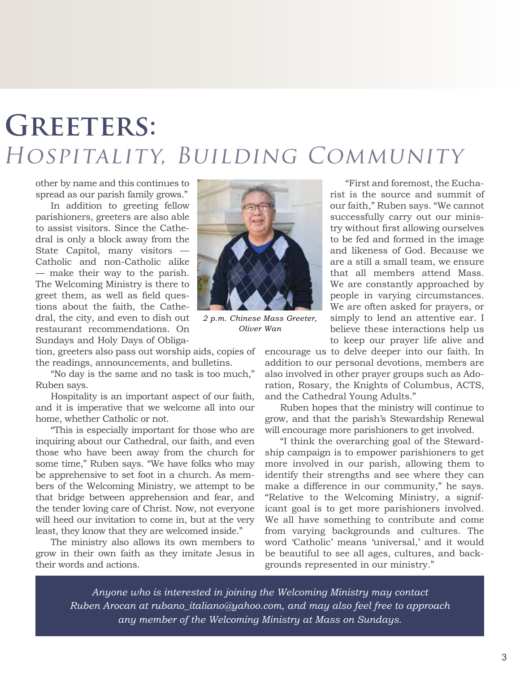# **GREETERS:** HOSPITALITY, BUILDING COMMUNITY

other by name and this continues to spread as our parish family grows."

In addition to greeting fellow parishioners, greeters are also able to assist visitors. Since the Cathedral is only a block away from the State Capitol, many visitors — Catholic and non-Catholic alike — make their way to the parish. The Welcoming Ministry is there to greet them, as well as field questions about the faith, the Cathedral, the city, and even to dish out restaurant recommendations. On Sundays and Holy Days of Obliga-

tion, greeters also pass out worship aids, copies of the readings, announcements, and bulletins.

"No day is the same and no task is too much," Ruben says.

Hospitality is an important aspect of our faith, and it is imperative that we welcome all into our home, whether Catholic or not.

"This is especially important for those who are inquiring about our Cathedral, our faith, and even those who have been away from the church for some time," Ruben says. "We have folks who may be apprehensive to set foot in a church. As members of the Welcoming Ministry, we attempt to be that bridge between apprehension and fear, and the tender loving care of Christ. Now, not everyone will heed our invitation to come in, but at the very least, they know that they are welcomed inside."

The ministry also allows its own members to grow in their own faith as they imitate Jesus in their words and actions.



*2 p.m. Chinese Mass Greeter, Oliver Wan*

"First and foremost, the Eucharist is the source and summit of our faith," Ruben says. "We cannot successfully carry out our ministry without first allowing ourselves to be fed and formed in the image and likeness of God. Because we are a still a small team, we ensure that all members attend Mass. We are constantly approached by people in varying circumstances. We are often asked for prayers, or simply to lend an attentive ear. I believe these interactions help us to keep our prayer life alive and

encourage us to delve deeper into our faith. In addition to our personal devotions, members are also involved in other prayer groups such as Adoration, Rosary, the Knights of Columbus, ACTS, and the Cathedral Young Adults."

Ruben hopes that the ministry will continue to grow, and that the parish's Stewardship Renewal will encourage more parishioners to get involved.

"I think the overarching goal of the Stewardship campaign is to empower parishioners to get more involved in our parish, allowing them to identify their strengths and see where they can make a difference in our community," he says. "Relative to the Welcoming Ministry, a significant goal is to get more parishioners involved. We all have something to contribute and come from varying backgrounds and cultures. The word 'Catholic' means 'universal,' and it would be beautiful to see all ages, cultures, and backgrounds represented in our ministry."

*Anyone who is interested in joining the Welcoming Ministry may contact Ruben Arocan at [rubano\\_italiano@yahoo.com,](mailto:rubano_italiano@yahoo.com) and may also feel free to approach any member of the Welcoming Ministry at Mass on Sundays.*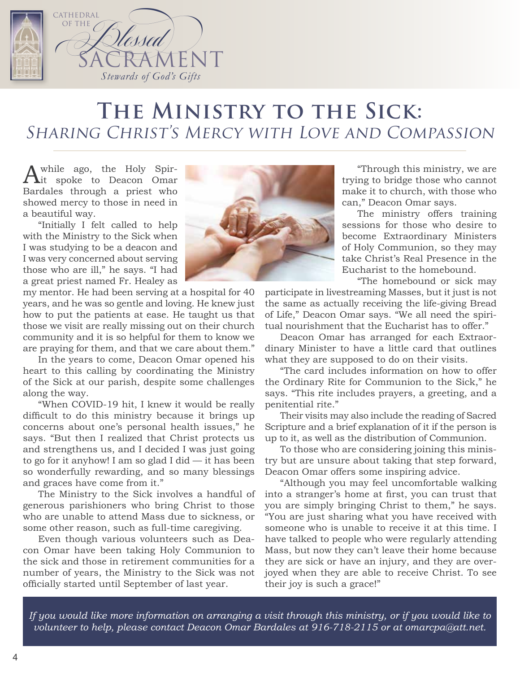

#### THE MINISTRY TO THE SICK: Sharing Christ's Mercy with Love and Compassion

A while ago, the Holy Spir-<br>
it spoke to Deacon Omar Bardales through a priest who showed mercy to those in need in a beautiful way.

"Initially I felt called to help with the Ministry to the Sick when I was studying to be a deacon and I was very concerned about serving those who are ill," he says. "I had a great priest named Fr. Healey as

my mentor. He had been serving at a hospital for 40 years, and he was so gentle and loving. He knew just how to put the patients at ease. He taught us that those we visit are really missing out on their church community and it is so helpful for them to know we are praying for them, and that we care about them."

In the years to come, Deacon Omar opened his heart to this calling by coordinating the Ministry of the Sick at our parish, despite some challenges along the way.

"When COVID-19 hit, I knew it would be really difficult to do this ministry because it brings up concerns about one's personal health issues," he says. "But then I realized that Christ protects us and strengthens us, and I decided I was just going to go for it anyhow! I am so glad I did — it has been so wonderfully rewarding, and so many blessings and graces have come from it."

The Ministry to the Sick involves a handful of generous parishioners who bring Christ to those who are unable to attend Mass due to sickness, or some other reason, such as full-time caregiving.

Even though various volunteers such as Deacon Omar have been taking Holy Communion to the sick and those in retirement communities for a number of years, the Ministry to the Sick was not officially started until September of last year.



"Through this ministry, we are trying to bridge those who cannot make it to church, with those who can," Deacon Omar says.

The ministry offers training sessions for those who desire to become Extraordinary Ministers of Holy Communion, so they may take Christ's Real Presence in the Eucharist to the homebound.

"The homebound or sick may

participate in livestreaming Masses, but it just is not the same as actually receiving the life-giving Bread of Life," Deacon Omar says. "We all need the spiritual nourishment that the Eucharist has to offer."

Deacon Omar has arranged for each Extraordinary Minister to have a little card that outlines what they are supposed to do on their visits.

"The card includes information on how to offer the Ordinary Rite for Communion to the Sick," he says. "This rite includes prayers, a greeting, and a penitential rite."

Their visits may also include the reading of Sacred Scripture and a brief explanation of it if the person is up to it, as well as the distribution of Communion.

To those who are considering joining this ministry but are unsure about taking that step forward, Deacon Omar offers some inspiring advice.

"Although you may feel uncomfortable walking into a stranger's home at first, you can trust that you are simply bringing Christ to them," he says. "You are just sharing what you have received with someone who is unable to receive it at this time. I have talked to people who were regularly attending Mass, but now they can't leave their home because they are sick or have an injury, and they are overjoyed when they are able to receive Christ. To see their joy is such a grace!"

*If you would like more information on arranging a visit through this ministry, or if you would like to volunteer to help, please contact Deacon Omar Bardales at 916-718-2115 or at [omarcpa@att.net](mailto:omarcpa@att.net).*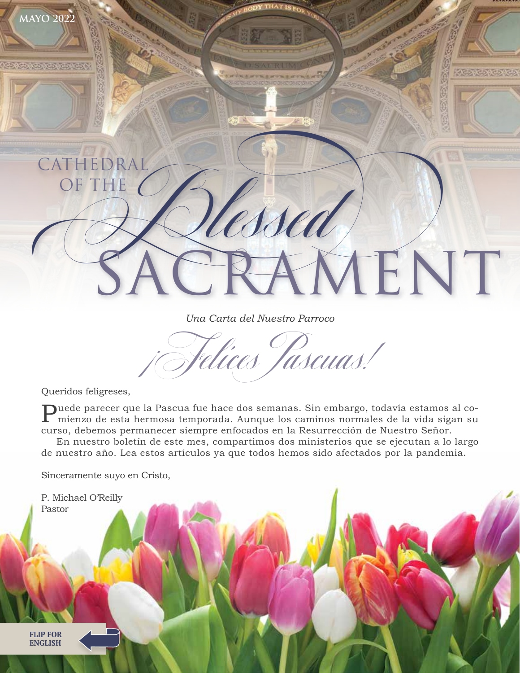

*Una Carta del Nuestro Parroco*

Felices Tascuas!

Queridos feligreses,

Puede parecer que la Pascua fue hace dos semanas. Sin embargo, todavía estamos al co-<br>mienzo de esta hermosa temporado Augusta la mienzo de esta hermosa temporada. Aunque los caminos normales de la vida sigan su curso, debemos permanecer siempre enfocados en la Resurrección de Nuestro Señor.

En nuestro boletín de este mes, compartimos dos ministerios que se ejecutan a lo largo de nuestro año. Lea estos artículos ya que todos hemos sido afectados por la pandemia.

Sinceramente suyo en Cristo,

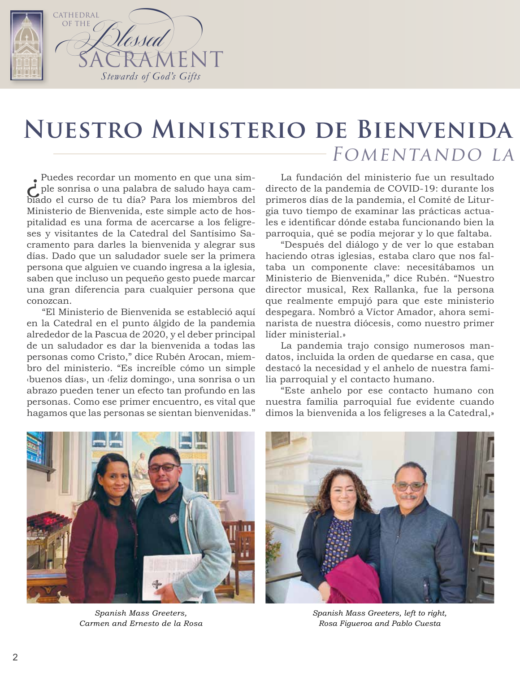

### **NUESTRO MINISTERIO DE BIENVENIDA** FOMENTANDO LA

¿Puedes recordar un momento en que una sim-ple sonrisa o una palabra de saludo haya cambiado el curso de tu día? Para los miembros del Ministerio de Bienvenida, este simple acto de hospitalidad es una forma de acercarse a los feligreses y visitantes de la Catedral del Santísimo Sacramento para darles la bienvenida y alegrar sus días. Dado que un saludador suele ser la primera persona que alguien ve cuando ingresa a la iglesia, saben que incluso un pequeño gesto puede marcar una gran diferencia para cualquier persona que conozcan.

"El Ministerio de Bienvenida se estableció aquí en la Catedral en el punto álgido de la pandemia alrededor de la Pascua de 2020, y el deber principal de un saludador es dar la bienvenida a todas las personas como Cristo," dice Rubén Arocan, miembro del ministerio. "Es increíble cómo un simple ‹buenos días›, un ‹feliz domingo›, una sonrisa o un abrazo pueden tener un efecto tan profundo en las personas. Como ese primer encuentro, es vital que hagamos que las personas se sientan bienvenidas."

La fundación del ministerio fue un resultado directo de la pandemia de COVID-19: durante los primeros días de la pandemia, el Comité de Liturgia tuvo tiempo de examinar las prácticas actuales e identificar dónde estaba funcionando bien la parroquia, qué se podía mejorar y lo que faltaba.

"Después del diálogo y de ver lo que estaban haciendo otras iglesias, estaba claro que nos faltaba un componente clave: necesitábamos un Ministerio de Bienvenida," dice Rubén. "Nuestro director musical, Rex Rallanka, fue la persona que realmente empujó para que este ministerio despegara. Nombró a Víctor Amador, ahora seminarista de nuestra diócesis, como nuestro primer líder ministerial.»

La pandemia trajo consigo numerosos mandatos, incluida la orden de quedarse en casa, que destacó la necesidad y el anhelo de nuestra familia parroquial y el contacto humano.

"Este anhelo por ese contacto humano con nuestra familia parroquial fue evidente cuando dimos la bienvenida a los feligreses a la Catedral,»



*Spanish Mass Greeters, Carmen and Ernesto de la Rosa*



*Spanish Mass Greeters, left to right, Rosa Figueroa and Pablo Cuesta*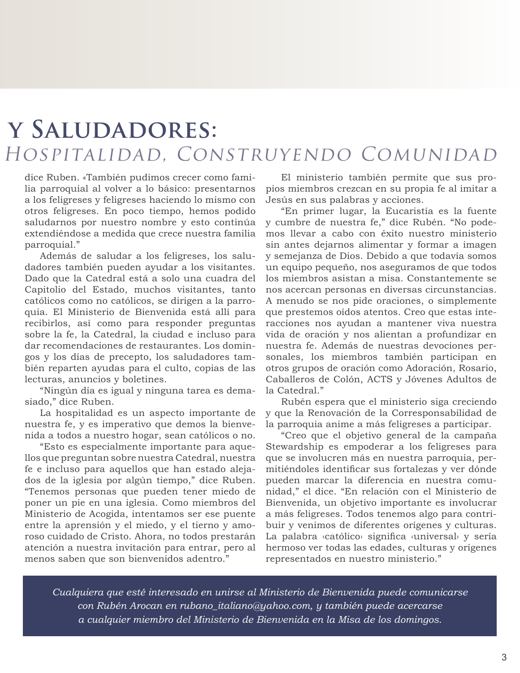#### Y SALUDADORES: HOSPITALIDAD, CONSTRUYENDO COMUNIDAD

dice Ruben. «También pudimos crecer como familia parroquial al volver a lo básico: presentarnos a los feligreses y feligreses haciendo lo mismo con otros feligreses. En poco tiempo, hemos podido saludarnos por nuestro nombre y esto continúa extendiéndose a medida que crece nuestra familia parroquial."

Además de saludar a los feligreses, los saludadores también pueden ayudar a los visitantes. Dado que la Catedral está a solo una cuadra del Capitolio del Estado, muchos visitantes, tanto católicos como no católicos, se dirigen a la parroquia. El Ministerio de Bienvenida está allí para recibirlos, así como para responder preguntas sobre la fe, la Catedral, la ciudad e incluso para dar recomendaciones de restaurantes. Los domingos y los días de precepto, los saludadores también reparten ayudas para el culto, copias de las lecturas, anuncios y boletines.

"Ningún día es igual y ninguna tarea es demasiado," dice Ruben.

La hospitalidad es un aspecto importante de nuestra fe, y es imperativo que demos la bienvenida a todos a nuestro hogar, sean católicos o no.

"Esto es especialmente importante para aquellos que preguntan sobre nuestra Catedral, nuestra fe e incluso para aquellos que han estado alejados de la iglesia por algún tiempo," dice Ruben. "Tenemos personas que pueden tener miedo de poner un pie en una iglesia. Como miembros del Ministerio de Acogida, intentamos ser ese puente entre la aprensión y el miedo, y el tierno y amoroso cuidado de Cristo. Ahora, no todos prestarán atención a nuestra invitación para entrar, pero al menos saben que son bienvenidos adentro."

El ministerio también permite que sus propios miembros crezcan en su propia fe al imitar a Jesús en sus palabras y acciones.

"En primer lugar, la Eucaristía es la fuente y cumbre de nuestra fe," dice Rubén. "No podemos llevar a cabo con éxito nuestro ministerio sin antes dejarnos alimentar y formar a imagen y semejanza de Dios. Debido a que todavía somos un equipo pequeño, nos aseguramos de que todos los miembros asistan a misa. Constantemente se nos acercan personas en diversas circunstancias. A menudo se nos pide oraciones, o simplemente que prestemos oídos atentos. Creo que estas interacciones nos ayudan a mantener viva nuestra vida de oración y nos alientan a profundizar en nuestra fe. Además de nuestras devociones personales, los miembros también participan en otros grupos de oración como Adoración, Rosario, Caballeros de Colón, ACTS y Jóvenes Adultos de la Catedral."

Rubén espera que el ministerio siga creciendo y que la Renovación de la Corresponsabilidad de la parroquia anime a más feligreses a participar.

"Creo que el objetivo general de la campaña Stewardship es empoderar a los feligreses para que se involucren más en nuestra parroquia, permitiéndoles identificar sus fortalezas y ver dónde pueden marcar la diferencia en nuestra comunidad," el dice. "En relación con el Ministerio de Bienvenida, un objetivo importante es involucrar a más feligreses. Todos tenemos algo para contribuir y venimos de diferentes orígenes y culturas. La palabra ‹católico› significa ‹universal› y sería hermoso ver todas las edades, culturas y orígenes representados en nuestro ministerio."

*Cualquiera que esté interesado en unirse al Ministerio de Bienvenida puede comunicarse con Rubén Arocan en [rubano\\_italiano@yahoo.com](mailto:rubano_italiano@yahoo.com), y también puede acercarse a cualquier miembro del Ministerio de Bienvenida en la Misa de los domingos.*